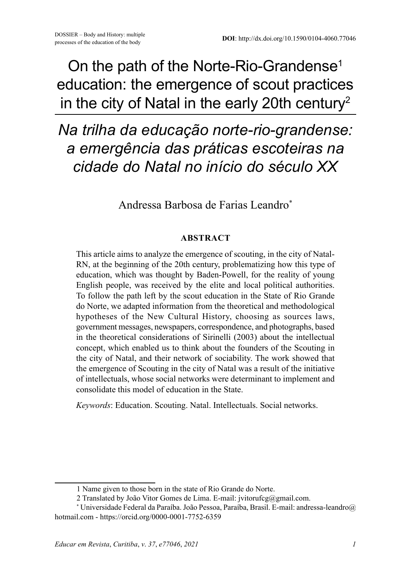On the path of the Norte-Rio-Grandense<sup>1</sup> education: the emergence of scout practices in the city of Natal in the early 20th century<sup>2</sup>

*Na trilha da educação norte-rio-grandense: a emergência das práticas escoteiras na cidade do Natal no início do século XX*

Andressa Barbosa de Farias Leandro\*

#### **ABSTRACT**

This article aims to analyze the emergence of scouting, in the city of Natal-RN, at the beginning of the 20th century, problematizing how this type of education, which was thought by Baden-Powell, for the reality of young English people, was received by the elite and local political authorities. To follow the path left by the scout education in the State of Rio Grande do Norte, we adapted information from the theoretical and methodological hypotheses of the New Cultural History, choosing as sources laws, government messages, newspapers, correspondence, and photographs, based in the theoretical considerations of Sirinelli (2003) about the intellectual concept, which enabled us to think about the founders of the Scouting in the city of Natal, and their network of sociability. The work showed that the emergence of Scouting in the city of Natal was a result of the initiative of intellectuals, whose social networks were determinant to implement and consolidate this model of education in the State.

*Keywords*: Education. Scouting. Natal. Intellectuals. Social networks.

<sup>1</sup> Name given to those born in the state of Rio Grande do Norte.

<sup>2</sup> Translated by João Vitor Gomes de Lima. E-mail: jvitorufcg@gmail.com.

<sup>\*</sup> Universidade Federal da Paraíba. João Pessoa, Paraíba, Brasil. E-mail: andressa-leandro@ hotmail.com - https://orcid.org/0000-0001-7752-6359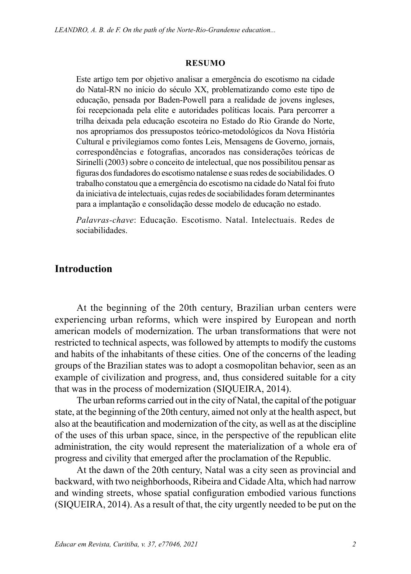#### **RESUMO**

Este artigo tem por objetivo analisar a emergência do escotismo na cidade do Natal-RN no início do século XX, problematizando como este tipo de educação, pensada por Baden-Powell para a realidade de jovens ingleses, foi recepcionada pela elite e autoridades políticas locais. Para percorrer a trilha deixada pela educação escoteira no Estado do Rio Grande do Norte, nos apropriamos dos pressupostos teórico-metodológicos da Nova História Cultural e privilegiamos como fontes Leis, Mensagens de Governo, jornais, correspondências e fotografias, ancorados nas considerações teóricas de Sirinelli (2003) sobre o conceito de intelectual, que nos possibilitou pensar as figuras dos fundadores do escotismo natalense e suas redes de sociabilidades. O trabalho constatou que a emergência do escotismo na cidade do Natal foi fruto da iniciativa de intelectuais, cujas redes de sociabilidades foram determinantes para a implantação e consolidação desse modelo de educação no estado.

*Palavras-chave*: Educação. Escotismo. Natal. Intelectuais. Redes de sociabilidades.

### **Introduction**

At the beginning of the 20th century, Brazilian urban centers were experiencing urban reforms, which were inspired by European and north american models of modernization. The urban transformations that were not restricted to technical aspects, was followed by attempts to modify the customs and habits of the inhabitants of these cities. One of the concerns of the leading groups of the Brazilian states was to adopt a cosmopolitan behavior, seen as an example of civilization and progress, and, thus considered suitable for a city that was in the process of modernization (SIQUEIRA, 2014).

The urban reforms carried out in the city of Natal, the capital of the potiguar state, at the beginning of the 20th century, aimed not only at the health aspect, but also at the beautification and modernization of the city, as well as at the discipline of the uses of this urban space, since, in the perspective of the republican elite administration, the city would represent the materialization of a whole era of progress and civility that emerged after the proclamation of the Republic.

At the dawn of the 20th century, Natal was a city seen as provincial and backward, with two neighborhoods, Ribeira and Cidade Alta, which had narrow and winding streets, whose spatial configuration embodied various functions (SIQUEIRA, 2014). As a result of that, the city urgently needed to be put on the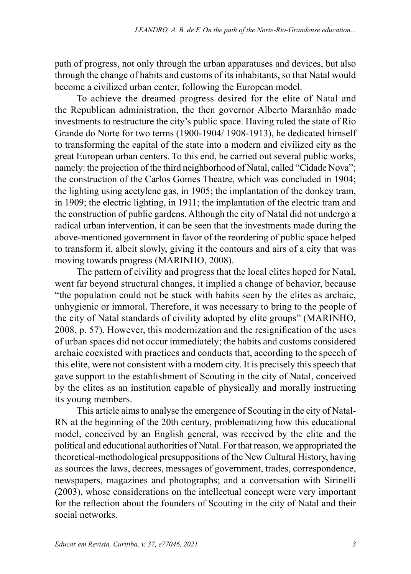path of progress, not only through the urban apparatuses and devices, but also through the change of habits and customs of its inhabitants, so that Natal would become a civilized urban center, following the European model.

To achieve the dreamed progress desired for the elite of Natal and the Republican administration, the then governor Alberto Maranhão made investments to restructure the city's public space. Having ruled the state of Rio Grande do Norte for two terms (1900-1904/ 1908-1913), he dedicated himself to transforming the capital of the state into a modern and civilized city as the great European urban centers. To this end, he carried out several public works, namely: the projection of the third neighborhood of Natal, called "Cidade Nova"; the construction of the Carlos Gomes Theatre, which was concluded in 1904; the lighting using acetylene gas, in 1905; the implantation of the donkey tram, in 1909; the electric lighting, in 1911; the implantation of the electric tram and the construction of public gardens. Although the city of Natal did not undergo a radical urban intervention, it can be seen that the investments made during the above-mentioned government in favor of the reordering of public space helped to transform it, albeit slowly, giving it the contours and airs of a city that was moving towards progress (MARINHO, 2008).

The pattern of civility and progress that the local elites hoped for Natal, went far beyond structural changes, it implied a change of behavior, because "the population could not be stuck with habits seen by the elites as archaic, unhygienic or immoral. Therefore, it was necessary to bring to the people of the city of Natal standards of civility adopted by elite groups" (MARINHO, 2008, p. 57). However, this modernization and the resignification of the uses of urban spaces did not occur immediately; the habits and customs considered archaic coexisted with practices and conducts that, according to the speech of this elite, were not consistent with a modern city. It is precisely this speech that gave support to the establishment of Scouting in the city of Natal, conceived by the elites as an institution capable of physically and morally instructing its young members.

This article aims to analyse the emergence of Scouting in the city of Natal-RN at the beginning of the 20th century, problematizing how this educational model, conceived by an English general, was received by the elite and the political and educational authorities of Natal. For that reason, we appropriated the theoretical-methodological presuppositions of the New Cultural History, having as sources the laws, decrees, messages of government, trades, correspondence, newspapers, magazines and photographs; and a conversation with Sirinelli (2003), whose considerations on the intellectual concept were very important for the reflection about the founders of Scouting in the city of Natal and their social networks.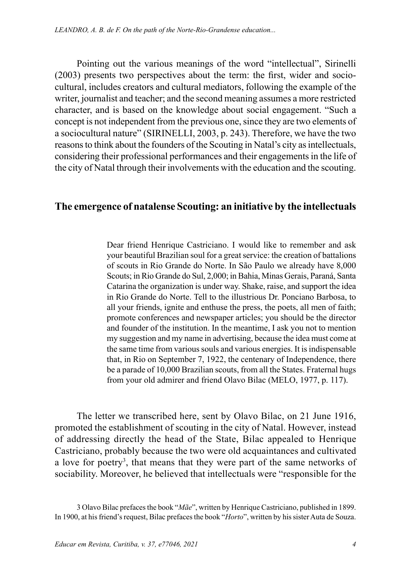Pointing out the various meanings of the word "intellectual", Sirinelli (2003) presents two perspectives about the term: the first, wider and sociocultural, includes creators and cultural mediators, following the example of the writer, journalist and teacher; and the second meaning assumes a more restricted character, and is based on the knowledge about social engagement. "Such a concept is not independent from the previous one, since they are two elements of a sociocultural nature" (SIRINELLI, 2003, p. 243). Therefore, we have the two reasons to think about the founders of the Scouting in Natal's city as intellectuals, considering their professional performances and their engagements in the life of the city of Natal through their involvements with the education and the scouting.

### **The emergence of natalense Scouting: an initiative by the intellectuals**

Dear friend Henrique Castriciano. I would like to remember and ask your beautiful Brazilian soul for a great service: the creation of battalions of scouts in Rio Grande do Norte. In São Paulo we already have 8,000 Scouts; in Rio Grande do Sul, 2,000; in Bahia, Minas Gerais, Paraná, Santa Catarina the organization is under way. Shake, raise, and support the idea in Rio Grande do Norte. Tell to the illustrious Dr. Ponciano Barbosa, to all your friends, ignite and enthuse the press, the poets, all men of faith; promote conferences and newspaper articles; you should be the director and founder of the institution. In the meantime, I ask you not to mention my suggestion and my name in advertising, because the idea must come at the same time from various souls and various energies. It is indispensable that, in Rio on September 7, 1922, the centenary of Independence, there be a parade of 10,000 Brazilian scouts, from all the States. Fraternal hugs from your old admirer and friend Olavo Bilac (MELO, 1977, p. 117).

The letter we transcribed here, sent by Olavo Bilac, on 21 June 1916, promoted the establishment of scouting in the city of Natal. However, instead of addressing directly the head of the State, Bilac appealed to Henrique Castriciano, probably because the two were old acquaintances and cultivated a love for poetry<sup>3</sup>, that means that they were part of the same networks of sociability. Moreover, he believed that intellectuals were "responsible for the

<sup>3</sup> Olavo Bilac prefaces the book "*Mãe*", written by Henrique Castriciano, published in 1899. In 1900, at his friend's request, Bilac prefaces the book "*Horto*", written by his sister Auta de Souza.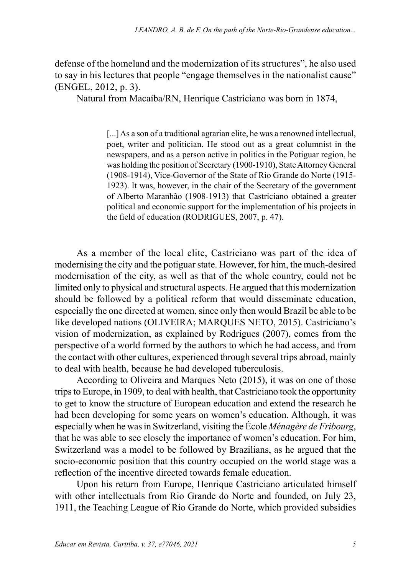defense of the homeland and the modernization of its structures", he also used to say in his lectures that people "engage themselves in the nationalist cause" (ENGEL, 2012, p. 3).

Natural from Macaíba/RN, Henrique Castriciano was born in 1874,

[...] As a son of a traditional agrarian elite, he was a renowned intellectual, poet, writer and politician. He stood out as a great columnist in the newspapers, and as a person active in politics in the Potiguar region, he was holding the position of Secretary (1900-1910), State Attorney General (1908-1914), Vice-Governor of the State of Rio Grande do Norte (1915- 1923). It was, however, in the chair of the Secretary of the government of Alberto Maranhão (1908-1913) that Castriciano obtained a greater political and economic support for the implementation of his projects in the field of education (RODRIGUES, 2007, p. 47).

As a member of the local elite, Castriciano was part of the idea of modernising the city and the potiguar state. However, for him, the much-desired modernisation of the city, as well as that of the whole country, could not be limited only to physical and structural aspects. He argued that this modernization should be followed by a political reform that would disseminate education, especially the one directed at women, since only then would Brazil be able to be like developed nations (OLIVEIRA; MARQUES NETO, 2015). Castriciano's vision of modernization, as explained by Rodrigues (2007), comes from the perspective of a world formed by the authors to which he had access, and from the contact with other cultures, experienced through several trips abroad, mainly to deal with health, because he had developed tuberculosis.

According to Oliveira and Marques Neto (2015), it was on one of those trips to Europe, in 1909, to deal with health, that Castriciano took the opportunity to get to know the structure of European education and extend the research he had been developing for some years on women's education. Although, it was especially when he was in Switzerland, visiting the École *Ménagère de Fribourg*, that he was able to see closely the importance of women's education. For him, Switzerland was a model to be followed by Brazilians, as he argued that the socio-economic position that this country occupied on the world stage was a reflection of the incentive directed towards female education.

Upon his return from Europe, Henrique Castriciano articulated himself with other intellectuals from Rio Grande do Norte and founded, on July 23, 1911, the Teaching League of Rio Grande do Norte, which provided subsidies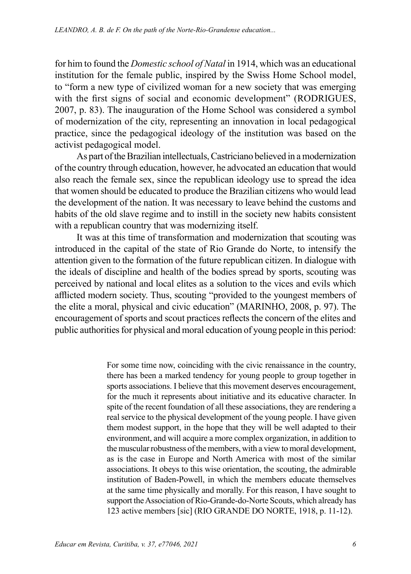for him to found the *Domestic school of Natal* in 1914, which was an educational institution for the female public, inspired by the Swiss Home School model, to "form a new type of civilized woman for a new society that was emerging with the first signs of social and economic development" (RODRIGUES, 2007, p. 83). The inauguration of the Home School was considered a symbol of modernization of the city, representing an innovation in local pedagogical practice, since the pedagogical ideology of the institution was based on the activist pedagogical model.

As part of the Brazilian intellectuals, Castriciano believed in a modernization of the country through education, however, he advocated an education that would also reach the female sex, since the republican ideology use to spread the idea that women should be educated to produce the Brazilian citizens who would lead the development of the nation. It was necessary to leave behind the customs and habits of the old slave regime and to instill in the society new habits consistent with a republican country that was modernizing itself.

It was at this time of transformation and modernization that scouting was introduced in the capital of the state of Rio Grande do Norte, to intensify the attention given to the formation of the future republican citizen. In dialogue with the ideals of discipline and health of the bodies spread by sports, scouting was perceived by national and local elites as a solution to the vices and evils which afflicted modern society. Thus, scouting "provided to the youngest members of the elite a moral, physical and civic education" (MARINHO, 2008, p. 97). The encouragement of sports and scout practices reflects the concern of the elites and public authorities for physical and moral education of young people in this period:

> For some time now, coinciding with the civic renaissance in the country, there has been a marked tendency for young people to group together in sports associations. I believe that this movement deserves encouragement, for the much it represents about initiative and its educative character. In spite of the recent foundation of all these associations, they are rendering a real service to the physical development of the young people. I have given them modest support, in the hope that they will be well adapted to their environment, and will acquire a more complex organization, in addition to the muscular robustness of the members, with a view to moral development, as is the case in Europe and North America with most of the similar associations. It obeys to this wise orientation, the scouting, the admirable institution of Baden-Powell, in which the members educate themselves at the same time physically and morally. For this reason, I have sought to support the Association of Rio-Grande-do-Norte Scouts, which already has 123 active members [sic] (RIO GRANDE DO NORTE, 1918, p. 11-12).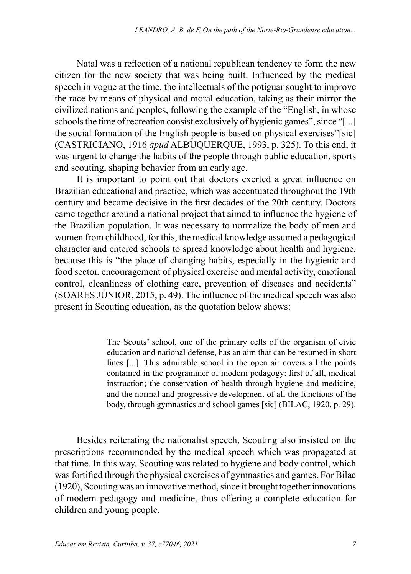Natal was a reflection of a national republican tendency to form the new citizen for the new society that was being built. Influenced by the medical speech in vogue at the time, the intellectuals of the potiguar sought to improve the race by means of physical and moral education, taking as their mirror the civilized nations and peoples, following the example of the "English, in whose schools the time of recreation consist exclusively of hygienic games", since "[...] the social formation of the English people is based on physical exercises"[sic] (CASTRICIANO, 1916 *apud* ALBUQUERQUE, 1993, p. 325). To this end, it was urgent to change the habits of the people through public education, sports and scouting, shaping behavior from an early age.

It is important to point out that doctors exerted a great influence on Brazilian educational and practice, which was accentuated throughout the 19th century and became decisive in the first decades of the 20th century. Doctors came together around a national project that aimed to influence the hygiene of the Brazilian population. It was necessary to normalize the body of men and women from childhood, for this, the medical knowledge assumed a pedagogical character and entered schools to spread knowledge about health and hygiene, because this is "the place of changing habits, especially in the hygienic and food sector, encouragement of physical exercise and mental activity, emotional control, cleanliness of clothing care, prevention of diseases and accidents" (SOARES JÚNIOR, 2015, p. 49). The influence of the medical speech was also present in Scouting education, as the quotation below shows:

> The Scouts' school, one of the primary cells of the organism of civic education and national defense, has an aim that can be resumed in short lines [...]. This admirable school in the open air covers all the points contained in the programmer of modern pedagogy: first of all, medical instruction; the conservation of health through hygiene and medicine, and the normal and progressive development of all the functions of the body, through gymnastics and school games [sic] (BILAC, 1920, p. 29).

Besides reiterating the nationalist speech, Scouting also insisted on the prescriptions recommended by the medical speech which was propagated at that time. In this way, Scouting was related to hygiene and body control, which was fortified through the physical exercises of gymnastics and games. For Bilac (1920), Scouting was an innovative method, since it brought together innovations of modern pedagogy and medicine, thus offering a complete education for children and young people.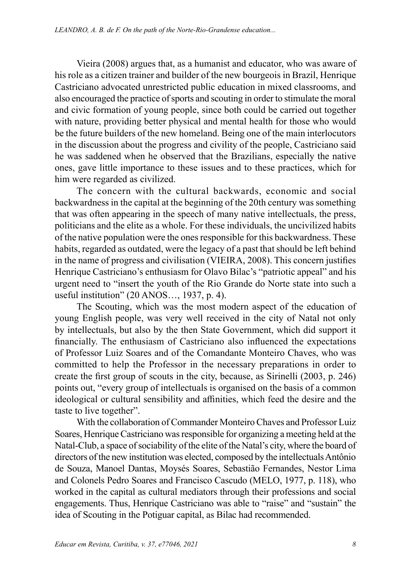Vieira (2008) argues that, as a humanist and educator, who was aware of his role as a citizen trainer and builder of the new bourgeois in Brazil, Henrique Castriciano advocated unrestricted public education in mixed classrooms, and also encouraged the practice of sports and scouting in order to stimulate the moral and civic formation of young people, since both could be carried out together with nature, providing better physical and mental health for those who would be the future builders of the new homeland. Being one of the main interlocutors in the discussion about the progress and civility of the people, Castriciano said he was saddened when he observed that the Brazilians, especially the native ones, gave little importance to these issues and to these practices, which for him were regarded as civilized.

The concern with the cultural backwards, economic and social backwardness in the capital at the beginning of the 20th century was something that was often appearing in the speech of many native intellectuals, the press, politicians and the elite as a whole. For these individuals, the uncivilized habits of the native population were the ones responsible for this backwardness. These habits, regarded as outdated, were the legacy of a past that should be left behind in the name of progress and civilisation (VIEIRA, 2008). This concern justifies Henrique Castriciano's enthusiasm for Olavo Bilac's "patriotic appeal" and his urgent need to "insert the youth of the Rio Grande do Norte state into such a useful institution" (20 ANOS…, 1937, p. 4).

The Scouting, which was the most modern aspect of the education of young English people, was very well received in the city of Natal not only by intellectuals, but also by the then State Government, which did support it financially. The enthusiasm of Castriciano also influenced the expectations of Professor Luiz Soares and of the Comandante Monteiro Chaves, who was committed to help the Professor in the necessary preparations in order to create the first group of scouts in the city, because, as Sirinelli (2003, p. 246) points out, "every group of intellectuals is organised on the basis of a common ideological or cultural sensibility and affinities, which feed the desire and the taste to live together".

With the collaboration of Commander Monteiro Chaves and Professor Luiz Soares, Henrique Castriciano was responsible for organizing a meeting held at the Natal-Club, a space of sociability of the elite of the Natal's city, where the board of directors of the new institution was elected, composed by the intellectuals Antônio de Souza, Manoel Dantas, Moysés Soares, Sebastião Fernandes, Nestor Lima and Colonels Pedro Soares and Francisco Cascudo (MELO, 1977, p. 118), who worked in the capital as cultural mediators through their professions and social engagements. Thus, Henrique Castriciano was able to "raise" and "sustain" the idea of Scouting in the Potiguar capital, as Bilac had recommended.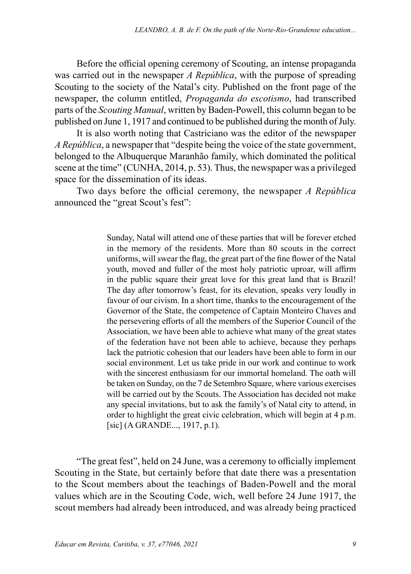Before the official opening ceremony of Scouting, an intense propaganda was carried out in the newspaper *A República*, with the purpose of spreading Scouting to the society of the Natal's city. Published on the front page of the newspaper, the column entitled, *Propaganda do escotismo*, had transcribed parts of the *Scouting Manual*, written by Baden-Powell, this column began to be published on June 1, 1917 and continued to be published during the month of July.

It is also worth noting that Castriciano was the editor of the newspaper *A República*, a newspaper that "despite being the voice of the state government, belonged to the Albuquerque Maranhão family, which dominated the political scene at the time" (CUNHA, 2014, p. 53). Thus, the newspaper was a privileged space for the dissemination of its ideas.

Two days before the official ceremony, the newspaper *A República* announced the "great Scout's fest":

> Sunday, Natal will attend one of these parties that will be forever etched in the memory of the residents. More than 80 scouts in the correct uniforms, will swear the flag, the great part of the fine flower of the Natal youth, moved and fuller of the most holy patriotic uproar, will affirm in the public square their great love for this great land that is Brazil! The day after tomorrow's feast, for its elevation, speaks very loudly in favour of our civism. In a short time, thanks to the encouragement of the Governor of the State, the competence of Captain Monteiro Chaves and the persevering efforts of all the members of the Superior Council of the Association, we have been able to achieve what many of the great states of the federation have not been able to achieve, because they perhaps lack the patriotic cohesion that our leaders have been able to form in our social environment. Let us take pride in our work and continue to work with the sincerest enthusiasm for our immortal homeland. The oath will be taken on Sunday, on the 7 de Setembro Square, where various exercises will be carried out by the Scouts. The Association has decided not make any special invitations, but to ask the family's of Natal city to attend, in order to highlight the great civic celebration, which will begin at 4 p.m. [sic] (A GRANDE..., 1917, p.1).

"The great fest", held on 24 June, was a ceremony to officially implement Scouting in the State, but certainly before that date there was a presentation to the Scout members about the teachings of Baden-Powell and the moral values which are in the Scouting Code, wich, well before 24 June 1917, the scout members had already been introduced, and was already being practiced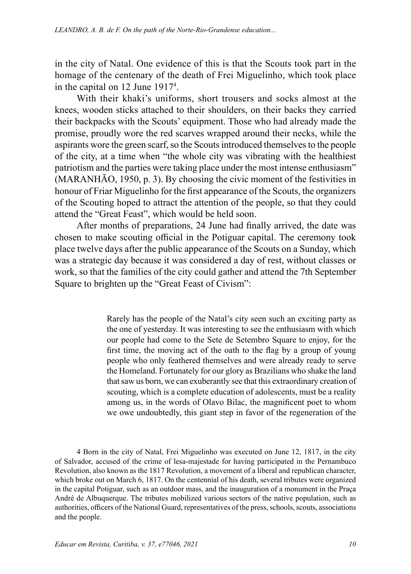in the city of Natal. One evidence of this is that the Scouts took part in the homage of the centenary of the death of Frei Miguelinho, which took place in the capital on 12 June 19174 .

With their khaki's uniforms, short trousers and socks almost at the knees, wooden sticks attached to their shoulders, on their backs they carried their backpacks with the Scouts' equipment. Those who had already made the promise, proudly wore the red scarves wrapped around their necks, while the aspirants wore the green scarf, so the Scouts introduced themselves to the people of the city, at a time when "the whole city was vibrating with the healthiest patriotism and the parties were taking place under the most intense enthusiasm" (MARANHÃO, 1950, p. 3). By choosing the civic moment of the festivities in honour of Friar Miguelinho for the first appearance of the Scouts, the organizers of the Scouting hoped to attract the attention of the people, so that they could attend the "Great Feast", which would be held soon.

After months of preparations, 24 June had finally arrived, the date was chosen to make scouting official in the Potiguar capital. The ceremony took place twelve days after the public appearance of the Scouts on a Sunday, which was a strategic day because it was considered a day of rest, without classes or work, so that the families of the city could gather and attend the 7th September Square to brighten up the "Great Feast of Civism":

> Rarely has the people of the Natal's city seen such an exciting party as the one of yesterday. It was interesting to see the enthusiasm with which our people had come to the Sete de Setembro Square to enjoy, for the first time, the moving act of the oath to the flag by a group of young people who only feathered themselves and were already ready to serve the Homeland. Fortunately for our glory as Brazilians who shake the land that saw us born, we can exuberantly see that this extraordinary creation of scouting, which is a complete education of adolescents, must be a reality among us, in the words of Olavo Bilac, the magnificent poet to whom we owe undoubtedly, this giant step in favor of the regeneration of the

4 Born in the city of Natal, Frei Miguelinho was executed on June 12, 1817, in the city of Salvador, accused of the crime of lesa-majestade for having participated in the Pernambuco Revolution, also known as the 1817 Revolution, a movement of a liberal and republican character, which broke out on March 6, 1817. On the centennial of his death, several tributes were organized in the capital Potiguar, such as an outdoor mass, and the inauguration of a monument in the Praça André de Albuquerque. The tributes mobilized various sectors of the native population, such as authorities, officers of the National Guard, representatives of the press, schools, scouts, associations and the people.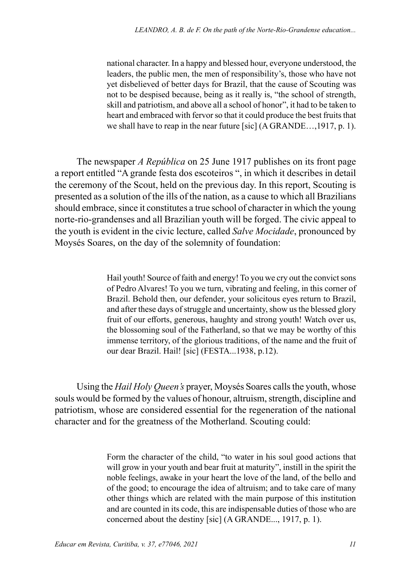national character. In a happy and blessed hour, everyone understood, the leaders, the public men, the men of responsibility's, those who have not yet disbelieved of better days for Brazil, that the cause of Scouting was not to be despised because, being as it really is, "the school of strength, skill and patriotism, and above all a school of honor", it had to be taken to heart and embraced with fervor so that it could produce the best fruits that we shall have to reap in the near future [sic] (A GRANDE…,1917, p. 1).

The newspaper *A República* on 25 June 1917 publishes on its front page a report entitled "A grande festa dos escoteiros ", in which it describes in detail the ceremony of the Scout, held on the previous day. In this report, Scouting is presented as a solution of the ills of the nation, as a cause to which all Brazilians should embrace, since it constitutes a true school of character in which the young norte-rio-grandenses and all Brazilian youth will be forged. The civic appeal to the youth is evident in the civic lecture, called *Salve Mocidade*, pronounced by Moysés Soares, on the day of the solemnity of foundation:

> Hail youth! Source of faith and energy! To you we cry out the convict sons of Pedro Alvares! To you we turn, vibrating and feeling, in this corner of Brazil. Behold then, our defender, your solicitous eyes return to Brazil, and after these days of struggle and uncertainty, show us the blessed glory fruit of our efforts, generous, haughty and strong youth! Watch over us, the blossoming soul of the Fatherland, so that we may be worthy of this immense territory, of the glorious traditions, of the name and the fruit of our dear Brazil. Hail! [sic] (FESTA...1938, p.12).

Using the *Hail Holy Queen's* prayer, Moysés Soares calls the youth, whose souls would be formed by the values of honour, altruism, strength, discipline and patriotism, whose are considered essential for the regeneration of the national character and for the greatness of the Motherland. Scouting could:

> Form the character of the child, "to water in his soul good actions that will grow in your youth and bear fruit at maturity", instill in the spirit the noble feelings, awake in your heart the love of the land, of the bello and of the good; to encourage the idea of altruism; and to take care of many other things which are related with the main purpose of this institution and are counted in its code, this are indispensable duties of those who are concerned about the destiny [sic] (A GRANDE..., 1917, p. 1).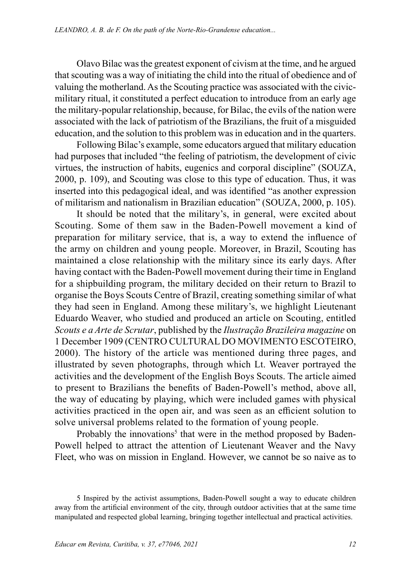Olavo Bilac was the greatest exponent of civism at the time, and he argued that scouting was a way of initiating the child into the ritual of obedience and of valuing the motherland. As the Scouting practice was associated with the civicmilitary ritual, it constituted a perfect education to introduce from an early age the military-popular relationship, because, for Bilac, the evils of the nation were associated with the lack of patriotism of the Brazilians, the fruit of a misguided education, and the solution to this problem was in education and in the quarters.

Following Bilac's example, some educators argued that military education had purposes that included "the feeling of patriotism, the development of civic virtues, the instruction of habits, eugenics and corporal discipline" (SOUZA, 2000, p. 109), and Scouting was close to this type of education. Thus, it was inserted into this pedagogical ideal, and was identified "as another expression of militarism and nationalism in Brazilian education" (SOUZA, 2000, p. 105).

It should be noted that the military's, in general, were excited about Scouting. Some of them saw in the Baden-Powell movement a kind of preparation for military service, that is, a way to extend the influence of the army on children and young people. Moreover, in Brazil, Scouting has maintained a close relationship with the military since its early days. After having contact with the Baden-Powell movement during their time in England for a shipbuilding program, the military decided on their return to Brazil to organise the Boys Scouts Centre of Brazil, creating something similar of what they had seen in England. Among these military's, we highlight Lieutenant Eduardo Weaver, who studied and produced an article on Scouting, entitled *Scouts e a Arte de Scrutar*, published by the *Ilustração Brazileira magazine* on 1 December 1909 (CENTRO CULTURAL DO MOVIMENTO ESCOTEIRO, 2000). The history of the article was mentioned during three pages, and illustrated by seven photographs, through which Lt. Weaver portrayed the activities and the development of the English Boys Scouts. The article aimed to present to Brazilians the benefits of Baden-Powell's method, above all, the way of educating by playing, which were included games with physical activities practiced in the open air, and was seen as an efficient solution to solve universal problems related to the formation of young people.

Probably the innovations<sup>5</sup> that were in the method proposed by Baden-Powell helped to attract the attention of Lieutenant Weaver and the Navy Fleet, who was on mission in England. However, we cannot be so naive as to

<sup>5</sup> Inspired by the activist assumptions, Baden-Powell sought a way to educate children away from the artificial environment of the city, through outdoor activities that at the same time manipulated and respected global learning, bringing together intellectual and practical activities.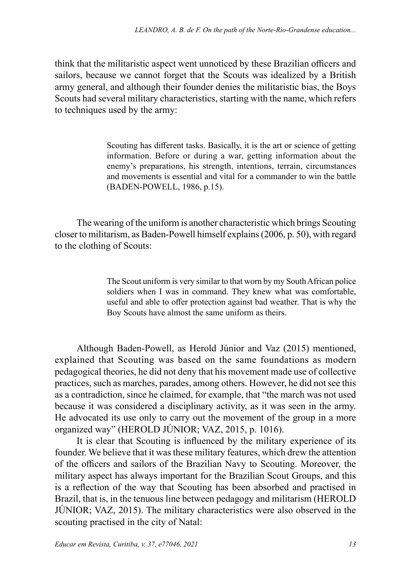think that the militaristic aspect went unnoticed by these Brazilian officers and sailors, because we cannot forget that the Scouts was idealized by a British army general, and although their founder denies the militaristic bias, the Boys Scouts had several military characteristics, starting with the name, which refers to techniques used by the army:

> Scouting has different tasks. Basically, it is the art or science of getting information. Before or during a war, getting information about the enemy's preparations, his strength, intentions, terrain, circumstances and movements is essential and vital for a commander to win the battle (BADEN-POWELL, 1986, p.15).

The wearing of the uniform is another characteristic which brings Scouting closer to militarism, as Baden-Powell himself explains (2006, p. 50), with regard to the clothing of Scouts:

> The Scout uniform is very similar to that worn by my South African police soldiers when I was in command. They knew what was comfortable, useful and able to offer protection against bad weather. That is why the Boy Scouts have almost the same uniform as theirs.

Although Baden-Powell, as Herold Júnior and Vaz (2015) mentioned, explained that Scouting was based on the same foundations as modern pedagogical theories, he did not deny that his movement made use of collective practices, such as marches, parades, among others. However, he did not see this as a contradiction, since he claimed, for example, that "the march was not used because it was considered a disciplinary activity, as it was seen in the army. He advocated its use only to carry out the movement of the group in a more organized way" (HEROLD JÚNIOR; VAZ, 2015, p. 1016).

It is clear that Scouting is influenced by the military experience of its founder. We believe that it was these military features, which drew the attention of the officers and sailors of the Brazilian Navy to Scouting. Moreover, the military aspect has always important for the Brazilian Scout Groups, and this is a reflection of the way that Scouting has been absorbed and practised in Brazil, that is, in the tenuous line between pedagogy and militarism (HEROLD JÚNIOR; VAZ, 2015). The military characteristics were also observed in the scouting practised in the city of Natal: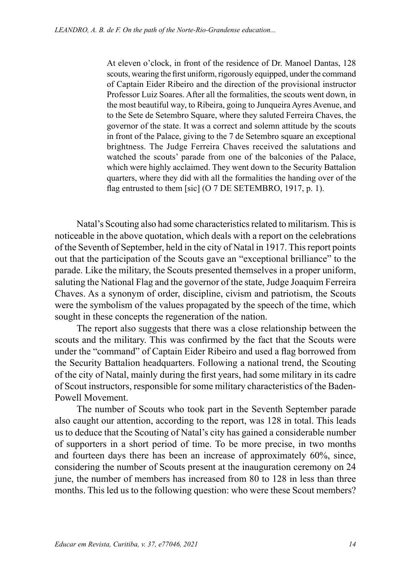At eleven o'clock, in front of the residence of Dr. Manoel Dantas, 128 scouts, wearing the first uniform, rigorously equipped, under the command of Captain Eider Ribeiro and the direction of the provisional instructor Professor Luiz Soares. After all the formalities, the scouts went down, in the most beautiful way, to Ribeira, going to Junqueira Ayres Avenue, and to the Sete de Setembro Square, where they saluted Ferreira Chaves, the governor of the state. It was a correct and solemn attitude by the scouts in front of the Palace, giving to the 7 de Setembro square an exceptional brightness. The Judge Ferreira Chaves received the salutations and watched the scouts' parade from one of the balconies of the Palace, which were highly acclaimed. They went down to the Security Battalion quarters, where they did with all the formalities the handing over of the flag entrusted to them [sic] (O 7 DE SETEMBRO, 1917, p. 1).

Natal's Scouting also had some characteristics related to militarism. This is noticeable in the above quotation, which deals with a report on the celebrations of the Seventh of September, held in the city of Natal in 1917. This report points out that the participation of the Scouts gave an "exceptional brilliance" to the parade. Like the military, the Scouts presented themselves in a proper uniform, saluting the National Flag and the governor of the state, Judge Joaquim Ferreira Chaves. As a synonym of order, discipline, civism and patriotism, the Scouts were the symbolism of the values propagated by the speech of the time, which sought in these concepts the regeneration of the nation.

The report also suggests that there was a close relationship between the scouts and the military. This was confirmed by the fact that the Scouts were under the "command" of Captain Eider Ribeiro and used a flag borrowed from the Security Battalion headquarters. Following a national trend, the Scouting of the city of Natal, mainly during the first years, had some military in its cadre of Scout instructors, responsible for some military characteristics of the Baden-Powell Movement.

The number of Scouts who took part in the Seventh September parade also caught our attention, according to the report, was 128 in total. This leads us to deduce that the Scouting of Natal's city has gained a considerable number of supporters in a short period of time. To be more precise, in two months and fourteen days there has been an increase of approximately 60%, since, considering the number of Scouts present at the inauguration ceremony on 24 june, the number of members has increased from 80 to 128 in less than three months. This led us to the following question: who were these Scout members?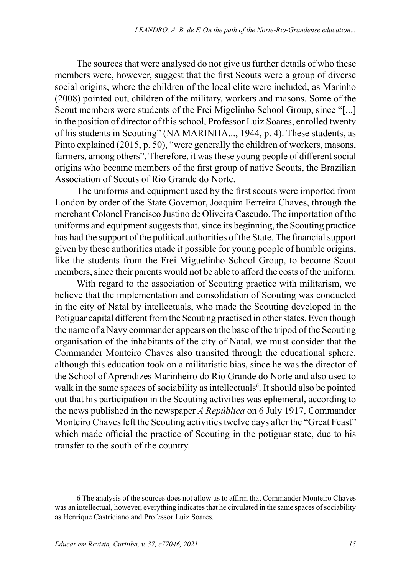The sources that were analysed do not give us further details of who these members were, however, suggest that the first Scouts were a group of diverse social origins, where the children of the local elite were included, as Marinho (2008) pointed out, children of the military, workers and masons. Some of the Scout members were students of the Frei Migelinho School Group, since "[...] in the position of director of this school, Professor Luiz Soares, enrolled twenty of his students in Scouting" (NA MARINHA..., 1944, p. 4). These students, as Pinto explained (2015, p. 50), "were generally the children of workers, masons, farmers, among others". Therefore, it was these young people of different social origins who became members of the first group of native Scouts, the Brazilian Association of Scouts of Rio Grande do Norte.

The uniforms and equipment used by the first scouts were imported from London by order of the State Governor, Joaquim Ferreira Chaves, through the merchant Colonel Francisco Justino de Oliveira Cascudo. The importation of the uniforms and equipment suggests that, since its beginning, the Scouting practice has had the support of the political authorities of the State. The financial support given by these authorities made it possible for young people of humble origins, like the students from the Frei Miguelinho School Group, to become Scout members, since their parents would not be able to afford the costs of the uniform.

With regard to the association of Scouting practice with militarism, we believe that the implementation and consolidation of Scouting was conducted in the city of Natal by intellectuals, who made the Scouting developed in the Potiguar capital different from the Scouting practised in other states. Even though the name of a Navy commander appears on the base of the tripod of the Scouting organisation of the inhabitants of the city of Natal, we must consider that the Commander Monteiro Chaves also transited through the educational sphere, although this education took on a militaristic bias, since he was the director of the School of Aprendizes Marinheiro do Rio Grande do Norte and also used to walk in the same spaces of sociability as intellectuals<sup>6</sup>. It should also be pointed out that his participation in the Scouting activities was ephemeral, according to the news published in the newspaper *A República* on 6 July 1917, Commander Monteiro Chaves left the Scouting activities twelve days after the "Great Feast" which made official the practice of Scouting in the potiguar state, due to his transfer to the south of the country.

<sup>6</sup> The analysis of the sources does not allow us to affirm that Commander Monteiro Chaves was an intellectual, however, everything indicates that he circulated in the same spaces of sociability as Henrique Castriciano and Professor Luiz Soares.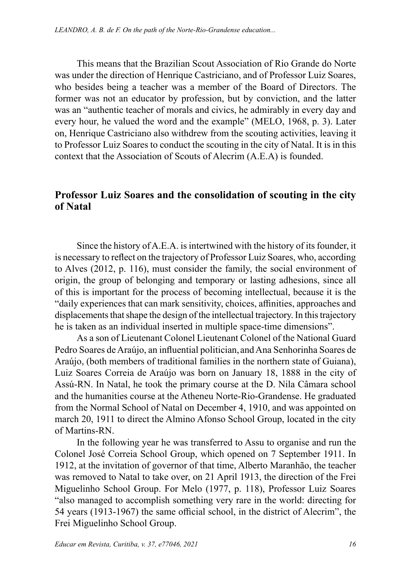This means that the Brazilian Scout Association of Rio Grande do Norte was under the direction of Henrique Castriciano, and of Professor Luiz Soares, who besides being a teacher was a member of the Board of Directors. The former was not an educator by profession, but by conviction, and the latter was an "authentic teacher of morals and civics, he admirably in every day and every hour, he valued the word and the example" (MELO, 1968, p. 3). Later on, Henrique Castriciano also withdrew from the scouting activities, leaving it to Professor Luiz Soares to conduct the scouting in the city of Natal. It is in this context that the Association of Scouts of Alecrim (A.E.A) is founded.

### **Professor Luiz Soares and the consolidation of scouting in the city of Natal**

Since the history of A.E.A. is intertwined with the history of its founder, it is necessary to reflect on the trajectory of Professor Luiz Soares, who, according to Alves (2012, p. 116), must consider the family, the social environment of origin, the group of belonging and temporary or lasting adhesions, since all of this is important for the process of becoming intellectual, because it is the "daily experiences that can mark sensitivity, choices, affinities, approaches and displacements that shape the design of the intellectual trajectory. In this trajectory he is taken as an individual inserted in multiple space-time dimensions".

As a son of Lieutenant Colonel Lieutenant Colonel of the National Guard Pedro Soares de Araújo, an influential politician,and Ana Senhorinha Soares de Araújo, (both members of traditional families in the northern state of Guiana), Luiz Soares Correia de Araújo was born on January 18, 1888 in the city of Assú-RN. In Natal, he took the primary course at the D. Nila Câmara school and the humanities course at the Atheneu Norte-Rio-Grandense. He graduated from the Normal School of Natal on December 4, 1910, and was appointed on march 20, 1911 to direct the Almino Afonso School Group, located in the city of Martins-RN.

In the following year he was transferred to Assu to organise and run the Colonel José Correia School Group, which opened on 7 September 1911. In 1912, at the invitation of governor of that time, Alberto Maranhão, the teacher was removed to Natal to take over, on 21 April 1913, the direction of the Frei Miguelinho School Group. For Melo (1977, p. 118), Professor Luiz Soares "also managed to accomplish something very rare in the world: directing for 54 years (1913-1967) the same official school, in the district of Alecrim", the Frei Miguelinho School Group.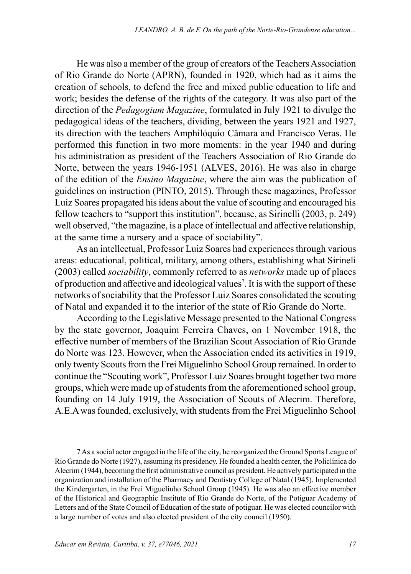He was also a member of the group of creators of the Teachers Association of Rio Grande do Norte (APRN), founded in 1920, which had as it aims the creation of schools, to defend the free and mixed public education to life and work; besides the defense of the rights of the category. It was also part of the direction of the *Pedagogium Magazine*, formulated in July 1921 to divulge the pedagogical ideas of the teachers, dividing, between the years 1921 and 1927, its direction with the teachers Amphilóquio Câmara and Francisco Veras. He performed this function in two more moments: in the year 1940 and during his administration as president of the Teachers Association of Rio Grande do Norte, between the years 1946-1951 (ALVES, 2016). He was also in charge of the edition of the *Ensino Magazine*, where the aim was the publication of guidelines on instruction (PINTO, 2015). Through these magazines, Professor Luiz Soares propagated his ideas about the value of scouting and encouraged his fellow teachers to "support this institution", because, as Sirinelli (2003, p. 249) well observed, "the magazine, is a place of intellectual and affective relationship, at the same time a nursery and a space of sociability".

As an intellectual, Professor Luiz Soares had experiences through various areas: educational, political, military, among others, establishing what Sirineli (2003) called *sociability*, commonly referred to as *networks* made up of places of production and affective and ideological values<sup>7</sup> . It is with the support of these networks of sociability that the Professor Luiz Soares consolidated the scouting of Natal and expanded it to the interior of the state of Rio Grande do Norte.

According to the Legislative Message presented to the National Congress by the state governor, Joaquim Ferreira Chaves, on 1 November 1918, the effective number of members of the Brazilian Scout Association of Rio Grande do Norte was 123. However, when the Association ended its activities in 1919, only twenty Scouts from the Frei Miguelinho School Group remained. In order to continue the "Scouting work", Professor Luiz Soares brought together two more groups, which were made up of students from the aforementioned school group, founding on 14 July 1919, the Association of Scouts of Alecrim. Therefore, A.E.A was founded, exclusively, with students from the Frei Miguelinho School

7 As a social actor engaged in the life of the city, he reorganized the Ground Sports League of Rio Grande do Norte (1927), assuming its presidency. He founded a health center, the Policlínica do Alecrim (1944), becoming the first administrative council as president. He actively participated in the organization and installation of the Pharmacy and Dentistry College of Natal (1945). Implemented the Kindergarten, in the Frei Miguelinho School Group (1945). He was also an effective member of the Historical and Geographic Institute of Rio Grande do Norte, of the Potiguar Academy of Letters and of the State Council of Education of the state of potiguar. He was elected councilor with a large number of votes and also elected president of the city council (1950).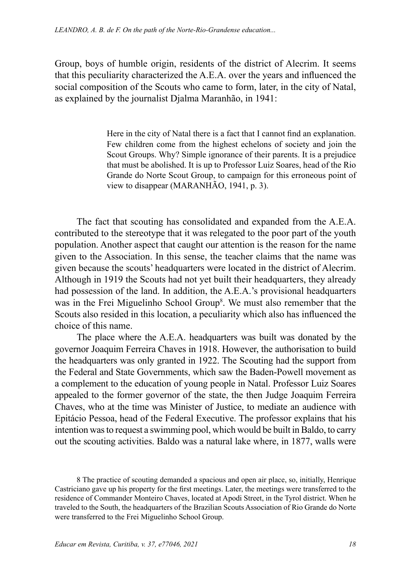Group, boys of humble origin, residents of the district of Alecrim. It seems that this peculiarity characterized the A.E.A. over the years and influenced the social composition of the Scouts who came to form, later, in the city of Natal, as explained by the journalist Djalma Maranhão, in 1941:

> Here in the city of Natal there is a fact that I cannot find an explanation. Few children come from the highest echelons of society and join the Scout Groups. Why? Simple ignorance of their parents. It is a prejudice that must be abolished. It is up to Professor Luiz Soares, head of the Rio Grande do Norte Scout Group, to campaign for this erroneous point of view to disappear (MARANHÃO, 1941, p. 3).

The fact that scouting has consolidated and expanded from the A.E.A. contributed to the stereotype that it was relegated to the poor part of the youth population. Another aspect that caught our attention is the reason for the name given to the Association. In this sense, the teacher claims that the name was given because the scouts' headquarters were located in the district of Alecrim. Although in 1919 the Scouts had not yet built their headquarters, they already had possession of the land. In addition, the A.E.A.'s provisional headquarters was in the Frei Miguelinho School Group<sup>8</sup>. We must also remember that the Scouts also resided in this location, a peculiarity which also has influenced the choice of this name.

The place where the A.E.A. headquarters was built was donated by the governor Joaquim Ferreira Chaves in 1918. However, the authorisation to build the headquarters was only granted in 1922. The Scouting had the support from the Federal and State Governments, which saw the Baden-Powell movement as a complement to the education of young people in Natal. Professor Luiz Soares appealed to the former governor of the state, the then Judge Joaquim Ferreira Chaves, who at the time was Minister of Justice, to mediate an audience with Epitácio Pessoa, head of the Federal Executive. The professor explains that his intention was to request a swimming pool, which would be built in Baldo, to carry out the scouting activities. Baldo was a natural lake where, in 1877, walls were

8 The practice of scouting demanded a spacious and open air place, so, initially, Henrique Castriciano gave up his property for the first meetings. Later, the meetings were transferred to the residence of Commander Monteiro Chaves, located at Apodi Street, in the Tyrol district. When he traveled to the South, the headquarters of the Brazilian Scouts Association of Rio Grande do Norte were transferred to the Frei Miguelinho School Group.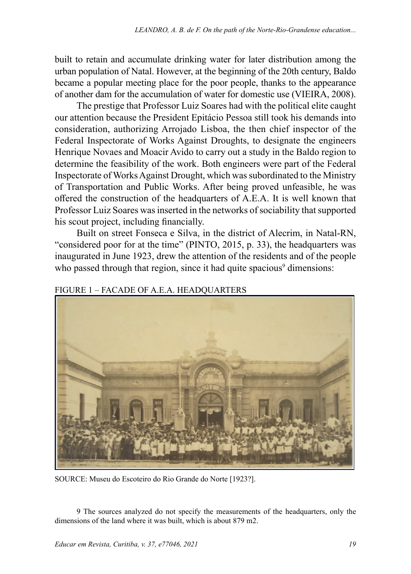built to retain and accumulate drinking water for later distribution among the urban population of Natal. However, at the beginning of the 20th century, Baldo became a popular meeting place for the poor people, thanks to the appearance of another dam for the accumulation of water for domestic use (VIEIRA, 2008).

The prestige that Professor Luiz Soares had with the political elite caught our attention because the President Epitácio Pessoa still took his demands into consideration, authorizing Arrojado Lisboa, the then chief inspector of the Federal Inspectorate of Works Against Droughts, to designate the engineers Henrique Novaes and Moacir Avido to carry out a study in the Baldo region to determine the feasibility of the work. Both engineers were part of the Federal Inspectorate of Works Against Drought, which was subordinated to the Ministry of Transportation and Public Works. After being proved unfeasible, he was offered the construction of the headquarters of A.E.A. It is well known that Professor Luiz Soares was inserted in the networks of sociability that supported his scout project, including financially.

Built on street Fonseca e Silva, in the district of Alecrim, in Natal-RN, "considered poor for at the time" (PINTO, 2015, p. 33), the headquarters was inaugurated in June 1923, drew the attention of the residents and of the people who passed through that region, since it had quite spacious<sup>9</sup> dimensions:

#### FIGURE 1 – FACADE OF A.E.A. HEADQUARTERS



SOURCE: Museu do Escoteiro do Rio Grande do Norte [1923?].

9 The sources analyzed do not specify the measurements of the headquarters, only the dimensions of the land where it was built, which is about 879 m2.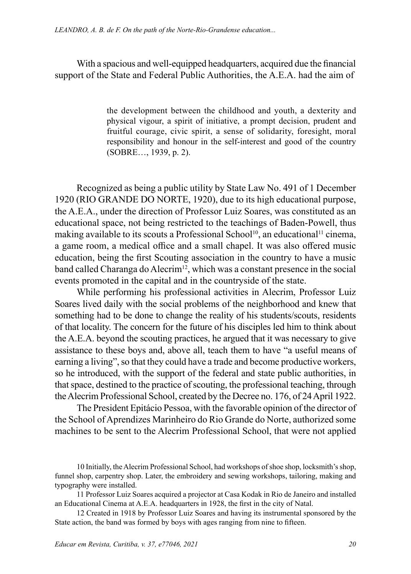With a spacious and well-equipped headquarters, acquired due the financial support of the State and Federal Public Authorities, the A.E.A. had the aim of

> the development between the childhood and youth, a dexterity and physical vigour, a spirit of initiative, a prompt decision, prudent and fruitful courage, civic spirit, a sense of solidarity, foresight, moral responsibility and honour in the self-interest and good of the country (SOBRE…, 1939, p. 2).

Recognized as being a public utility by State Law No. 491 of 1 December 1920 (RIO GRANDE DO NORTE, 1920), due to its high educational purpose, the A.E.A., under the direction of Professor Luiz Soares, was constituted as an educational space, not being restricted to the teachings of Baden-Powell, thus making available to its scouts a Professional School<sup>10</sup>, an educational<sup>11</sup> cinema, a game room, a medical office and a small chapel. It was also offered music education, being the first Scouting association in the country to have a music band called Charanga do Alecrim<sup>12</sup>, which was a constant presence in the social events promoted in the capital and in the countryside of the state.

While performing his professional activities in Alecrim, Professor Luiz Soares lived daily with the social problems of the neighborhood and knew that something had to be done to change the reality of his students/scouts, residents of that locality. The concern for the future of his disciples led him to think about the A.E.A. beyond the scouting practices, he argued that it was necessary to give assistance to these boys and, above all, teach them to have "a useful means of earning a living", so that they could have a trade and become productive workers, so he introduced, with the support of the federal and state public authorities, in that space, destined to the practice of scouting, the professional teaching, through the Alecrim Professional School, created by the Decree no. 176, of 24 April 1922.

The President Epitácio Pessoa, with the favorable opinion of the director of the School of Aprendizes Marinheiro do Rio Grande do Norte, authorized some machines to be sent to the Alecrim Professional School, that were not applied

<sup>10</sup> Initially, the Alecrim Professional School, had workshops of shoe shop, locksmith's shop, funnel shop, carpentry shop. Later, the embroidery and sewing workshops, tailoring, making and typography were installed.

<sup>11</sup> Professor Luiz Soares acquired a projector at Casa Kodak in Rio de Janeiro and installed an Educational Cinema at A.E.A. headquarters in 1928, the first in the city of Natal.

<sup>12</sup> Created in 1918 by Professor Luiz Soares and having its instrumental sponsored by the State action, the band was formed by boys with ages ranging from nine to fifteen.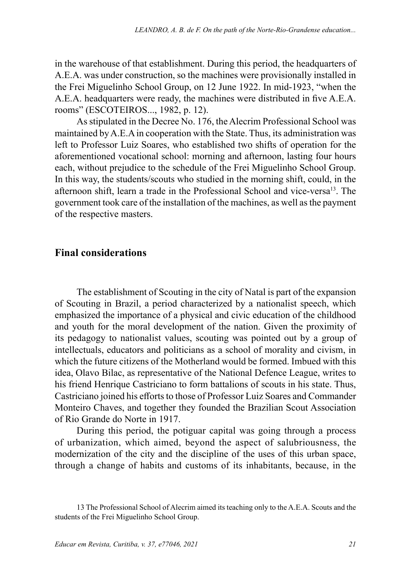in the warehouse of that establishment. During this period, the headquarters of A.E.A. was under construction, so the machines were provisionally installed in the Frei Miguelinho School Group, on 12 June 1922. In mid-1923, "when the A.E.A. headquarters were ready, the machines were distributed in five A.E.A. rooms" (ESCOTEIROS..., 1982, p. 12).

As stipulated in the Decree No. 176, the Alecrim Professional School was maintained by A.E.A in cooperation with the State. Thus, its administration was left to Professor Luiz Soares, who established two shifts of operation for the aforementioned vocational school: morning and afternoon, lasting four hours each, without prejudice to the schedule of the Frei Miguelinho School Group. In this way, the students/scouts who studied in the morning shift, could, in the afternoon shift, learn a trade in the Professional School and vice-versa<sup>13</sup>. The government took care of the installation of the machines, as well as the payment of the respective masters.

## **Final considerations**

The establishment of Scouting in the city of Natal is part of the expansion of Scouting in Brazil, a period characterized by a nationalist speech, which emphasized the importance of a physical and civic education of the childhood and youth for the moral development of the nation. Given the proximity of its pedagogy to nationalist values, scouting was pointed out by a group of intellectuals, educators and politicians as a school of morality and civism, in which the future citizens of the Motherland would be formed. Imbued with this idea, Olavo Bilac, as representative of the National Defence League, writes to his friend Henrique Castriciano to form battalions of scouts in his state. Thus, Castriciano joined his efforts to those of Professor Luiz Soares and Commander Monteiro Chaves, and together they founded the Brazilian Scout Association of Rio Grande do Norte in 1917.

During this period, the potiguar capital was going through a process of urbanization, which aimed, beyond the aspect of salubriousness, the modernization of the city and the discipline of the uses of this urban space, through a change of habits and customs of its inhabitants, because, in the

<sup>13</sup> The Professional School of Alecrim aimed its teaching only to the A.E.A. Scouts and the students of the Frei Miguelinho School Group.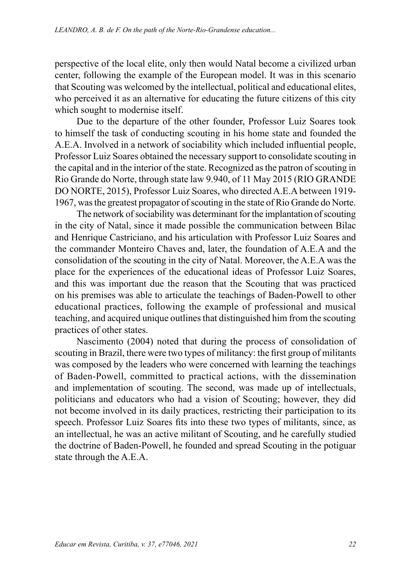perspective of the local elite, only then would Natal become a civilized urban center, following the example of the European model. It was in this scenario that Scouting was welcomed by the intellectual, political and educational elites, who perceived it as an alternative for educating the future citizens of this city which sought to modernise itself.

Due to the departure of the other founder, Professor Luiz Soares took to himself the task of conducting scouting in his home state and founded the A.E.A. Involved in a network of sociability which included influential people, Professor Luiz Soares obtained the necessary support to consolidate scouting in the capital and in the interior of the state. Recognized as the patron of scouting in Rio Grande do Norte, through state law 9.940, of 11 May 2015 (RIO GRANDE DO NORTE, 2015), Professor Luiz Soares, who directed A.E.A between 1919- 1967, was the greatest propagator of scouting in the state of Rio Grande do Norte.

The network of sociability was determinant for the implantation of scouting in the city of Natal, since it made possible the communication between Bilac and Henrique Castriciano, and his articulation with Professor Luiz Soares and the commander Monteiro Chaves and, later, the foundation of A.E.A and the consolidation of the scouting in the city of Natal. Moreover, the A.E.A was the place for the experiences of the educational ideas of Professor Luiz Soares, and this was important due the reason that the Scouting that was practiced on his premises was able to articulate the teachings of Baden-Powell to other educational practices, following the example of professional and musical teaching, and acquired unique outlines that distinguished him from the scouting practices of other states.

Nascimento (2004) noted that during the process of consolidation of scouting in Brazil, there were two types of militancy: the first group of militants was composed by the leaders who were concerned with learning the teachings of Baden-Powell, committed to practical actions, with the dissemination and implementation of scouting. The second, was made up of intellectuals, politicians and educators who had a vision of Scouting; however, they did not become involved in its daily practices, restricting their participation to its speech. Professor Luiz Soares fits into these two types of militants, since, as an intellectual, he was an active militant of Scouting, and he carefully studied the doctrine of Baden-Powell, he founded and spread Scouting in the potiguar state through the A.E.A.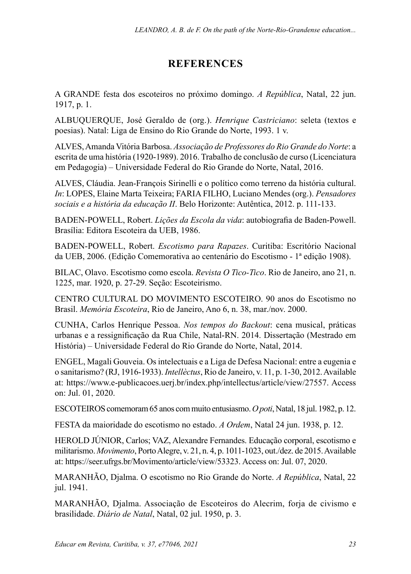# **REFERENCES**

A GRANDE festa dos escoteiros no próximo domingo. *A República*, Natal, 22 jun. 1917, p. 1.

ALBUQUERQUE, José Geraldo de (org.). *Henrique Castriciano*: seleta (textos e poesias). Natal: Liga de Ensino do Rio Grande do Norte, 1993. 1 v.

ALVES, Amanda Vitória Barbosa. *Associação de Professores do Rio Grande do Norte*: a escrita de uma história (1920-1989). 2016. Trabalho de conclusão de curso (Licenciatura em Pedagogia) – Universidade Federal do Rio Grande do Norte, Natal, 2016.

ALVES, Cláudia. Jean-François Sirinelli e o político como terreno da história cultural. *In*: LOPES, Elaine Marta Teixeira; FARIA FILHO, Luciano Mendes (org.). *Pensadores sociais e a história da educação II*. Belo Horizonte: Autêntica, 2012. p. 111-133.

BADEN-POWELL, Robert. *Lições da Escola da vida*: autobiografia de Baden-Powell. Brasília: Editora Escoteira da UEB, 1986.

BADEN-POWELL, Robert. *Escotismo para Rapazes*. Curitiba: Escritório Nacional da UEB, 2006. (Edição Comemorativa ao centenário do Escotismo - 1ª edição 1908).

BILAC, Olavo. Escotismo como escola. *Revista O Tico-Tico*. Rio de Janeiro, ano 21, n. 1225, mar. 1920, p. 27-29. Seção: Escoteirismo.

CENTRO CULTURAL DO MOVIMENTO ESCOTEIRO. 90 anos do Escotismo no Brasil. *Memória Escoteira*, Rio de Janeiro, Ano 6, n. 38, mar./nov. 2000.

CUNHA, Carlos Henrique Pessoa. *Nos tempos do Backout*: cena musical, práticas urbanas e a ressignificação da Rua Chile, Natal-RN. 2014. Dissertação (Mestrado em História) – Universidade Federal do Rio Grande do Norte, Natal, 2014.

ENGEL, Magali Gouveia. Os intelectuais e a Liga de Defesa Nacional: entre a eugenia e o sanitarismo? (RJ, 1916-1933). *Intellèctus*, Rio de Janeiro, v. 11, p. 1-30, 2012. Available at: https://www.e-publicacoes.uerj.br/index.php/intellectus/article/view/27557. Access on: Jul. 01, 2020.

ESCOTEIROS comemoram 65 anos com muito entusiasmo. *O poti*, Natal, 18 jul. 1982, p. 12.

FESTA da maioridade do escotismo no estado. *A Ordem*, Natal 24 jun. 1938, p. 12.

HEROLD JÚNIOR, Carlos; VAZ, Alexandre Fernandes. Educação corporal, escotismo e militarismo. *Movimento*, Porto Alegre, v. 21, n. 4, p. 1011-1023, out./dez. de 2015. Available at: https://seer.ufrgs.br/Movimento/article/view/53323. Access on: Jul. 07, 2020.

MARANHÃO, Djalma. O escotismo no Rio Grande do Norte. *A República*, Natal, 22 jul. 1941.

MARANHÃO, Djalma. Associação de Escoteiros do Alecrim, forja de civismo e brasilidade. *Diário de Natal*, Natal, 02 jul. 1950, p. 3.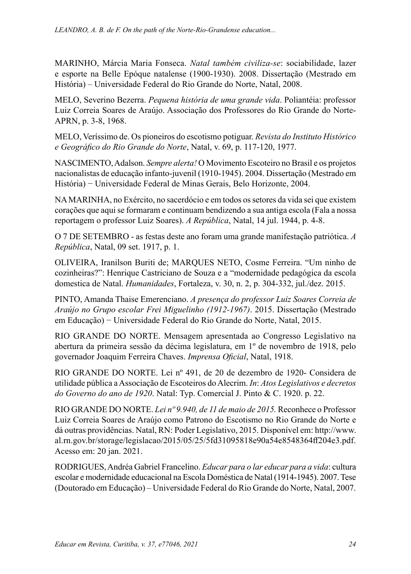MARINHO, Márcia Maria Fonseca. *Natal também civiliza-se*: sociabilidade, lazer e esporte na Belle Epóque natalense (1900-1930). 2008. Dissertação (Mestrado em História) – Universidade Federal do Rio Grande do Norte, Natal, 2008.

MELO, Severino Bezerra. *Pequena história de uma grande vida*. Poliantéia: professor Luiz Correia Soares de Araújo. Associação dos Professores do Rio Grande do Norte-APRN, p. 3-8, 1968.

MELO, Veríssimo de. Os pioneiros do escotismo potiguar. *Revista do Instituto Histórico e Geográfico do Rio Grande do Norte*, Natal, v. 69, p. 117-120, 1977.

NASCIMENTO, Adalson. *Sempre alerta!* O Movimento Escoteiro no Brasil e os projetos nacionalistas de educação infanto-juvenil (1910-1945). 2004. Dissertação (Mestrado em História) − Universidade Federal de Minas Gerais, Belo Horizonte, 2004.

NA MARINHA, no Exército, no sacerdócio e em todos os setores da vida sei que existem corações que aqui se formaram e continuam bendizendo a sua antiga escola (Fala a nossa reportagem o professor Luiz Soares). *A República*, Natal, 14 jul. 1944, p. 4-8.

O 7 DE SETEMBRO - as festas deste ano foram uma grande manifestação patriótica. *A República*, Natal, 09 set. 1917, p. 1.

OLIVEIRA, Iranilson Buriti de; MARQUES NETO, Cosme Ferreira. "Um ninho de cozinheiras?": Henrique Castriciano de Souza e a "modernidade pedagógica da escola domestica de Natal. *Humanidades*, Fortaleza, v. 30, n. 2, p. 304-332, jul./dez. 2015.

PINTO, Amanda Thaise Emerenciano. *A presença do professor Luiz Soares Correia de Araújo no Grupo escolar Frei Miguelinho (1912-1967)*. 2015. Dissertação (Mestrado em Educação) − Universidade Federal do Rio Grande do Norte, Natal, 2015.

RIO GRANDE DO NORTE. Mensagem apresentada ao Congresso Legislativo na abertura da primeira sessão da décima legislatura, em 1º de novembro de 1918, pelo governador Joaquim Ferreira Chaves. *Imprensa Oficial*, Natal, 1918.

RIO GRANDE DO NORTE. Lei nº 491, de 20 de dezembro de 1920- Considera de utilidade pública a Associação de Escoteiros do Alecrim. *In*: *Atos Legislativos e decretos do Governo do ano de 1920*. Natal: Typ. Comercial J. Pinto & C. 1920. p. 22.

RIO GRANDE DO NORTE. *Lei nº 9.940, de 11 de maio de 2015.* Reconhece o Professor Luiz Correia Soares de Araújo como Patrono do Escotismo no Rio Grande do Norte e dá outras providências. Natal, RN: Poder Legislativo, 2015. Disponível em: [http://www.](http://www.al.rn.gov.br/storage/legislacao/2015/05/25/5fd31095818e90a54e8548364ff204e3.pdf) [al.rn.gov.br/storage/legislacao/2015/05/25/5fd31095818e90a54e8548364ff204e3.pdf](http://www.al.rn.gov.br/storage/legislacao/2015/05/25/5fd31095818e90a54e8548364ff204e3.pdf). Acesso em: 20 jan. 2021.

RODRIGUES, Andréa Gabriel Francelino. *Educar para o lar educar para a vida*: cultura escolar e modernidade educacional na Escola Doméstica de Natal (1914-1945). 2007. Tese (Doutorado em Educação) – Universidade Federal do Rio Grande do Norte, Natal, 2007.